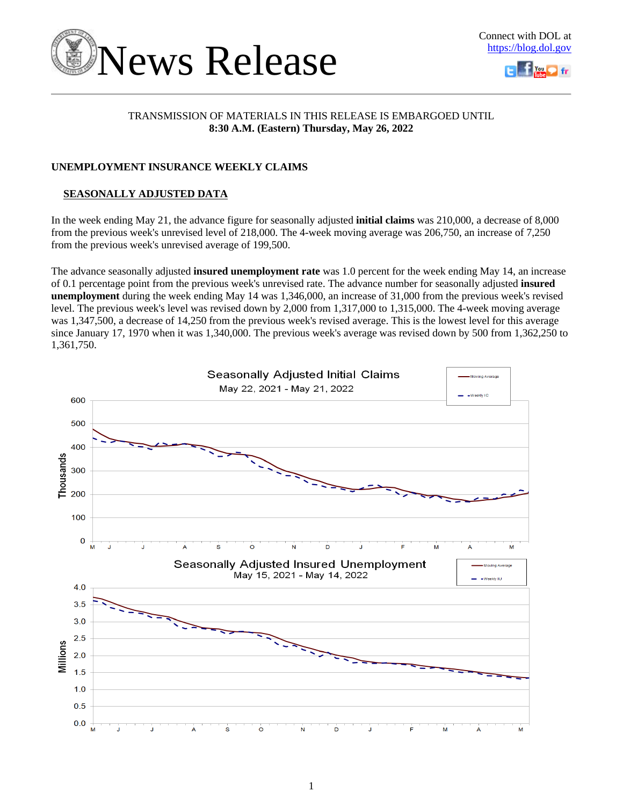



# TRANSMISSION OF MATERIALS IN THIS RELEASE IS EMBARGOED UNTIL **8:30 A.M. (Eastern) Thursday, May 26, 2022**

# **UNEMPLOYMENT INSURANCE WEEKLY CLAIMS**

# **SEASONALLY ADJUSTED DATA**

In the week ending May 21, the advance figure for seasonally adjusted **initial claims** was 210,000, a decrease of 8,000 from the previous week's unrevised level of 218,000. The 4-week moving average was 206,750, an increase of 7,250 from the previous week's unrevised average of 199,500.

The advance seasonally adjusted **insured unemployment rate** was 1.0 percent for the week ending May 14, an increase of 0.1 percentage point from the previous week's unrevised rate. The advance number for seasonally adjusted **insured unemployment** during the week ending May 14 was 1,346,000, an increase of 31,000 from the previous week's revised level. The previous week's level was revised down by 2,000 from 1,317,000 to 1,315,000. The 4-week moving average was 1,347,500, a decrease of 14,250 from the previous week's revised average. This is the lowest level for this average since January 17, 1970 when it was 1,340,000. The previous week's average was revised down by 500 from 1,362,250 to 1,361,750.

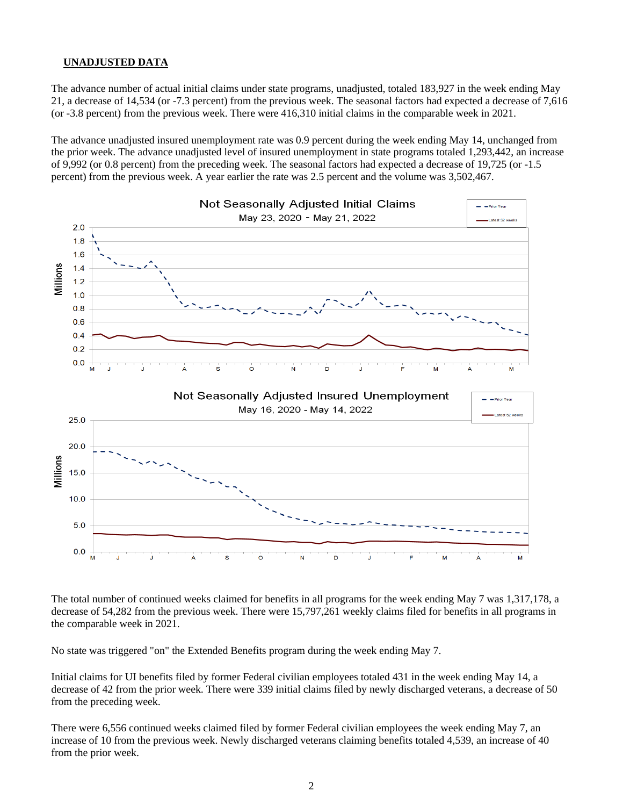## **UNADJUSTED DATA**

The advance number of actual initial claims under state programs, unadjusted, totaled 183,927 in the week ending May 21, a decrease of 14,534 (or -7.3 percent) from the previous week. The seasonal factors had expected a decrease of 7,616 (or -3.8 percent) from the previous week. There were 416,310 initial claims in the comparable week in 2021.

The advance unadjusted insured unemployment rate was 0.9 percent during the week ending May 14, unchanged from the prior week. The advance unadjusted level of insured unemployment in state programs totaled 1,293,442, an increase of 9,992 (or 0.8 percent) from the preceding week. The seasonal factors had expected a decrease of 19,725 (or -1.5 percent) from the previous week. A year earlier the rate was 2.5 percent and the volume was 3,502,467.



The total number of continued weeks claimed for benefits in all programs for the week ending May 7 was 1,317,178, a decrease of 54,282 from the previous week. There were 15,797,261 weekly claims filed for benefits in all programs in the comparable week in 2021.

No state was triggered "on" the Extended Benefits program during the week ending May 7.

Initial claims for UI benefits filed by former Federal civilian employees totaled 431 in the week ending May 14, a decrease of 42 from the prior week. There were 339 initial claims filed by newly discharged veterans, a decrease of 50 from the preceding week.

There were 6,556 continued weeks claimed filed by former Federal civilian employees the week ending May 7, an increase of 10 from the previous week. Newly discharged veterans claiming benefits totaled 4,539, an increase of 40 from the prior week.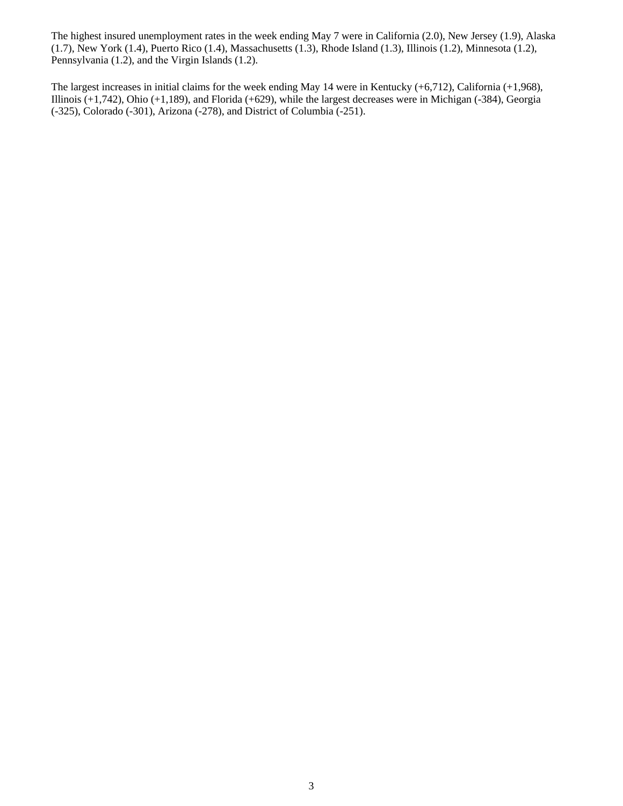The highest insured unemployment rates in the week ending May 7 were in California (2.0), New Jersey (1.9), Alaska (1.7), New York (1.4), Puerto Rico (1.4), Massachusetts (1.3), Rhode Island (1.3), Illinois (1.2), Minnesota (1.2), Pennsylvania (1.2), and the Virgin Islands (1.2).

The largest increases in initial claims for the week ending May 14 were in Kentucky (+6,712), California (+1,968), Illinois (+1,742), Ohio (+1,189), and Florida (+629), while the largest decreases were in Michigan (-384), Georgia (-325), Colorado (-301), Arizona (-278), and District of Columbia (-251).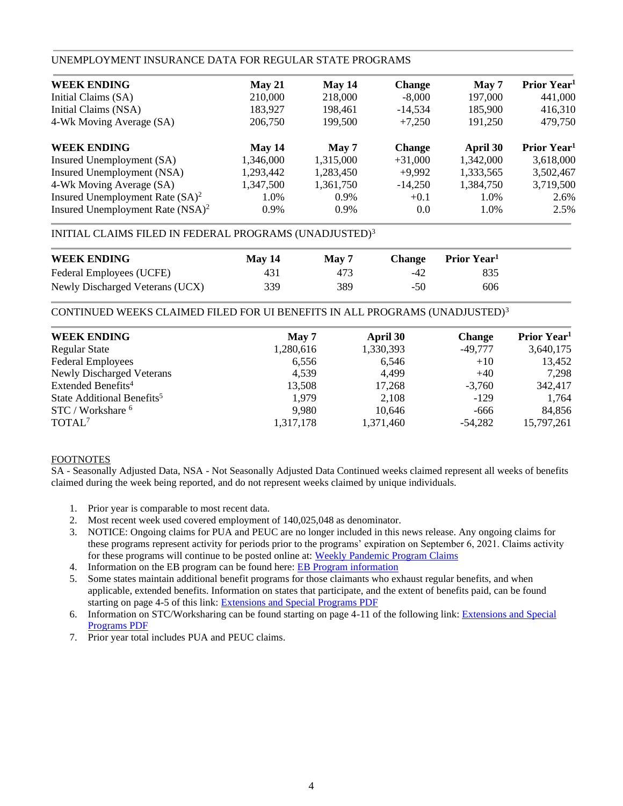## UNEMPLOYMENT INSURANCE DATA FOR REGULAR STATE PROGRAMS

| <b>WEEK ENDING</b>                  | May 21    | May 14    | <b>Change</b> | May 7     | Prior Year <sup>1</sup> |
|-------------------------------------|-----------|-----------|---------------|-----------|-------------------------|
| Initial Claims (SA)                 | 210,000   | 218,000   | $-8,000$      | 197,000   | 441,000                 |
| Initial Claims (NSA)                | 183,927   | 198.461   | $-14,534$     | 185,900   | 416,310                 |
| 4-Wk Moving Average (SA)            | 206,750   | 199.500   | $+7,250$      | 191,250   | 479,750                 |
| <b>WEEK ENDING</b>                  | May 14    | May 7     | <b>Change</b> | April 30  | Prior Year <sup>1</sup> |
| Insured Unemployment (SA)           | 1,346,000 | 1,315,000 | $+31,000$     | 1,342,000 | 3,618,000               |
| Insured Unemployment (NSA)          | 1,293,442 | 1,283,450 | $+9,992$      | 1,333,565 | 3,502,467               |
| 4-Wk Moving Average (SA)            | 1,347,500 | 1,361,750 | $-14,250$     | 1,384,750 | 3,719,500               |
| Insured Unemployment Rate $(SA)^2$  | 1.0%      | 0.9%      | $+0.1$        | 1.0%      | 2.6%                    |
| Insured Unemployment Rate $(NSA)^2$ | 0.9%      | $0.9\%$   | 0.0           | 1.0%      | 2.5%                    |

# INITIAL CLAIMS FILED IN FEDERAL PROGRAMS (UNADJUSTED)<sup>3</sup>

| <b>WEEK ENDING</b>              | May 14 | May 7 | <b>Change</b> | Prior Year <sup>1</sup> |  |
|---------------------------------|--------|-------|---------------|-------------------------|--|
| Federal Employees (UCFE)        | 431    | 473   | -42           | 835                     |  |
| Newly Discharged Veterans (UCX) | 339    | 389   | $-50$         | 606                     |  |

CONTINUED WEEKS CLAIMED FILED FOR UI BENEFITS IN ALL PROGRAMS (UNADJUSTED)<sup>3</sup>

| <b>WEEK ENDING</b>                     | May 7     | April 30  | <b>Change</b> | Prior Year <sup>1</sup> |
|----------------------------------------|-----------|-----------|---------------|-------------------------|
| <b>Regular State</b>                   | 1,280,616 | 1,330,393 | $-49,777$     | 3,640,175               |
| <b>Federal Employees</b>               | 6,556     | 6,546     | $+10$         | 13,452                  |
| <b>Newly Discharged Veterans</b>       | 4,539     | 4,499     | $+40$         | 7,298                   |
| Extended Benefits <sup>4</sup>         | 13,508    | 17,268    | $-3,760$      | 342,417                 |
| State Additional Benefits <sup>5</sup> | 1.979     | 2.108     | $-129$        | 1,764                   |
| STC / Workshare <sup>6</sup>           | 9,980     | 10,646    | $-666$        | 84,856                  |
| TOTAL <sup>7</sup>                     | 1,317,178 | 1,371,460 | $-54,282$     | 15,797,261              |
|                                        |           |           |               |                         |

### FOOTNOTES

SA - Seasonally Adjusted Data, NSA - Not Seasonally Adjusted Data Continued weeks claimed represent all weeks of benefits claimed during the week being reported, and do not represent weeks claimed by unique individuals.

- 1. Prior year is comparable to most recent data.
- 2. Most recent week used covered employment of 140,025,048 as denominator.
- 3. NOTICE: Ongoing claims for PUA and PEUC are no longer included in this news release. Any ongoing claims for these programs represent activity for periods prior to the programs' expiration on September 6, 2021. Claims activity for these programs will continue to be posted online at: [Weekly Pandemic Program Claims](https://oui.doleta.gov/unemploy/docs/weekly_pandemic_claims.xlsx)
- 4. Information on the EB program can be found here: [EB Program information](https://oui.doleta.gov/unemploy/extenben.asp)
- 5. Some states maintain additional benefit programs for those claimants who exhaust regular benefits, and when applicable, extended benefits. Information on states that participate, and the extent of benefits paid, can be found starting on page 4-5 of this link: [Extensions and Special Programs PDF](https://oui.doleta.gov/unemploy/pdf/uilawcompar/2021/special.pdf#page=5)
- 6. Information on STC/Worksharing can be found starting on page 4-11 of the following link: [Extensions and Special](https://oui.doleta.gov/unemploy/pdf/uilawcompar/2021/special.pdf#page=11)  [Programs PDF](https://oui.doleta.gov/unemploy/pdf/uilawcompar/2021/special.pdf#page=11)
- 7. Prior year total includes PUA and PEUC claims.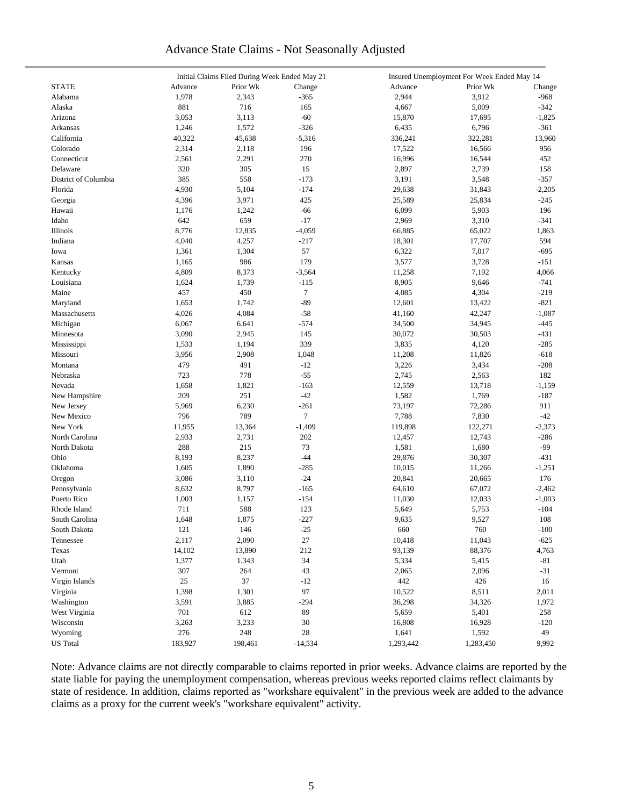# Advance State Claims - Not Seasonally Adjusted

|                      | Initial Claims Filed During Week Ended May 21 |              |           |           | Insured Unemployment For Week Ended May 14 |          |  |  |  |  |
|----------------------|-----------------------------------------------|--------------|-----------|-----------|--------------------------------------------|----------|--|--|--|--|
| <b>STATE</b>         | Advance                                       | Prior Wk     | Change    | Advance   | Prior Wk                                   | Change   |  |  |  |  |
| Alabama              | 1,978                                         | 2,343        | $-365$    | 2,944     | 3,912                                      | $-968$   |  |  |  |  |
| Alaska               | 881                                           | 716          | 165       | 4,667     | 5,009                                      | $-342$   |  |  |  |  |
| Arizona              | 3,053                                         | 3,113        | $-60$     | 15,870    | 17,695                                     | $-1,825$ |  |  |  |  |
| Arkansas             | 1,246                                         | 1,572        | $-326$    | 6,435     | 6,796                                      | $-361$   |  |  |  |  |
| California           | 40,322                                        | 45,638       | $-5,316$  | 336,241   | 322,281                                    | 13,960   |  |  |  |  |
| Colorado             | 2,314                                         | 2,118        | 196       | 17,522    | 16,566                                     | 956      |  |  |  |  |
| Connecticut          | 2,561                                         | 2,291        | 270       | 16,996    | 16,544                                     | 452      |  |  |  |  |
| Delaware             | 320                                           | 305          | 15        | 2,897     | 2,739                                      | 158      |  |  |  |  |
| District of Columbia | 385                                           | 558          | $-173$    | 3,191     | 3,548                                      | $-357$   |  |  |  |  |
| Florida              | 4,930                                         | 5,104        | $-174$    | 29,638    | 31,843                                     | $-2,205$ |  |  |  |  |
| Georgia              | 4,396                                         | 3,971        | 425       | 25,589    | 25,834                                     | $-245$   |  |  |  |  |
| Hawaii               | 1,176                                         |              | $-66$     | 6,099     | 5,903                                      | 196      |  |  |  |  |
| Idaho                | 642                                           | 1,242<br>659 | $-17$     |           |                                            |          |  |  |  |  |
|                      |                                               |              |           | 2,969     | 3,310                                      | $-341$   |  |  |  |  |
| Illinois             | 8,776                                         | 12,835       | $-4,059$  | 66,885    | 65,022                                     | 1,863    |  |  |  |  |
| Indiana              | 4,040                                         | 4,257        | $-217$    | 18,301    | 17,707                                     | 594      |  |  |  |  |
| Iowa                 | 1,361                                         | 1,304        | 57        | 6,322     | 7,017                                      | $-695$   |  |  |  |  |
| Kansas               | 1,165                                         | 986          | 179       | 3,577     | 3,728                                      | $-151$   |  |  |  |  |
| Kentucky             | 4,809                                         | 8,373        | $-3,564$  | 11,258    | 7,192                                      | 4,066    |  |  |  |  |
| Louisiana            | 1,624                                         | 1,739        | $-115$    | 8,905     | 9,646                                      | $-741$   |  |  |  |  |
| Maine                | 457                                           | 450          | 7         | 4,085     | 4,304                                      | $-219$   |  |  |  |  |
| Maryland             | 1,653                                         | 1,742        | $-89$     | 12,601    | 13,422                                     | $-821$   |  |  |  |  |
| Massachusetts        | 4,026                                         | 4,084        | $-58$     | 41,160    | 42,247                                     | $-1,087$ |  |  |  |  |
| Michigan             | 6,067                                         | 6,641        | $-574$    | 34,500    | 34,945                                     | $-445$   |  |  |  |  |
| Minnesota            | 3,090                                         | 2,945        | 145       | 30,072    | 30,503                                     | $-431$   |  |  |  |  |
| Mississippi          | 1,533                                         | 1,194        | 339       | 3,835     | 4,120                                      | $-285$   |  |  |  |  |
| Missouri             | 3,956                                         | 2,908        | 1,048     | 11,208    | 11,826                                     | $-618$   |  |  |  |  |
| Montana              | 479                                           | 491          | $-12$     | 3,226     | 3,434                                      | $-208$   |  |  |  |  |
| Nebraska             | 723                                           | 778          | $-55$     | 2,745     | 2,563                                      | 182      |  |  |  |  |
| Nevada               | 1,658                                         | 1,821        | $-163$    | 12,559    | 13,718                                     | $-1,159$ |  |  |  |  |
| New Hampshire        | 209                                           | 251          | $-42$     | 1,582     | 1,769                                      | $-187$   |  |  |  |  |
| New Jersey           | 5,969                                         | 6,230        | $-261$    | 73,197    | 72,286                                     | 911      |  |  |  |  |
| New Mexico           | 796                                           | 789          | $\tau$    | 7,788     | 7,830                                      | $-42$    |  |  |  |  |
| New York             | 11,955                                        | 13,364       | $-1,409$  | 119,898   | 122,271                                    | $-2,373$ |  |  |  |  |
| North Carolina       | 2,933                                         | 2,731        | 202       | 12,457    | 12,743                                     | $-286$   |  |  |  |  |
| North Dakota         | 288                                           | 215          | 73        | 1,581     | 1,680                                      | -99      |  |  |  |  |
| Ohio                 | 8,193                                         | 8,237        | $-44$     | 29,876    | 30,307                                     | $-431$   |  |  |  |  |
| Oklahoma             | 1,605                                         | 1,890        | $-285$    | 10,015    | 11,266                                     | $-1,251$ |  |  |  |  |
| Oregon               | 3,086                                         | 3,110        | $-24$     | 20,841    | 20,665                                     | 176      |  |  |  |  |
| Pennsylvania         | 8,632                                         | 8,797        | $-165$    | 64,610    | 67,072                                     | $-2,462$ |  |  |  |  |
| Puerto Rico          | 1,003                                         | 1,157        | $-154$    | 11,030    | 12,033                                     | $-1,003$ |  |  |  |  |
| Rhode Island         | 711                                           | 588          | 123       | 5,649     | 5,753                                      | $-104$   |  |  |  |  |
| South Carolina       | 1,648                                         | 1,875        | $-227$    | 9,635     | 9,527                                      | 108      |  |  |  |  |
| South Dakota         | 121                                           | 146          | $-25$     | 660       | 760                                        | $-100$   |  |  |  |  |
|                      |                                               |              | 27        |           |                                            |          |  |  |  |  |
| Tennessee            | 2,117                                         | 2,090        |           | 10,418    | 11,043                                     | $-625$   |  |  |  |  |
| Texas                | 14,102                                        | 13,890       | 212       | 93,139    | 88,376                                     | 4,763    |  |  |  |  |
| Utah                 | 1,377                                         | 1,343        | 34        | 5,334     | 5,415                                      | $-81$    |  |  |  |  |
| Vermont              | 307                                           | 264          | 43        | 2,065     | 2,096                                      | $-31$    |  |  |  |  |
| Virgin Islands       | 25                                            | 37           | $-12$     | 442       | 426                                        | 16       |  |  |  |  |
| Virginia             | 1,398                                         | 1,301        | 97        | 10,522    | 8,511                                      | 2,011    |  |  |  |  |
| Washington           | 3,591                                         | 3,885        | $-294$    | 36,298    | 34,326                                     | 1,972    |  |  |  |  |
| West Virginia        | 701                                           | 612          | 89        | 5,659     | 5,401                                      | 258      |  |  |  |  |
| Wisconsin            | 3,263                                         | 3,233        | 30        | 16,808    | 16,928                                     | $-120$   |  |  |  |  |
| Wyoming              | 276                                           | 248          | 28        | 1,641     | 1,592                                      | 49       |  |  |  |  |
| <b>US</b> Total      | 183,927                                       | 198,461      | $-14,534$ | 1,293,442 | 1,283,450                                  | 9,992    |  |  |  |  |

Note: Advance claims are not directly comparable to claims reported in prior weeks. Advance claims are reported by the state liable for paying the unemployment compensation, whereas previous weeks reported claims reflect claimants by state of residence. In addition, claims reported as "workshare equivalent" in the previous week are added to the advance claims as a proxy for the current week's "workshare equivalent" activity.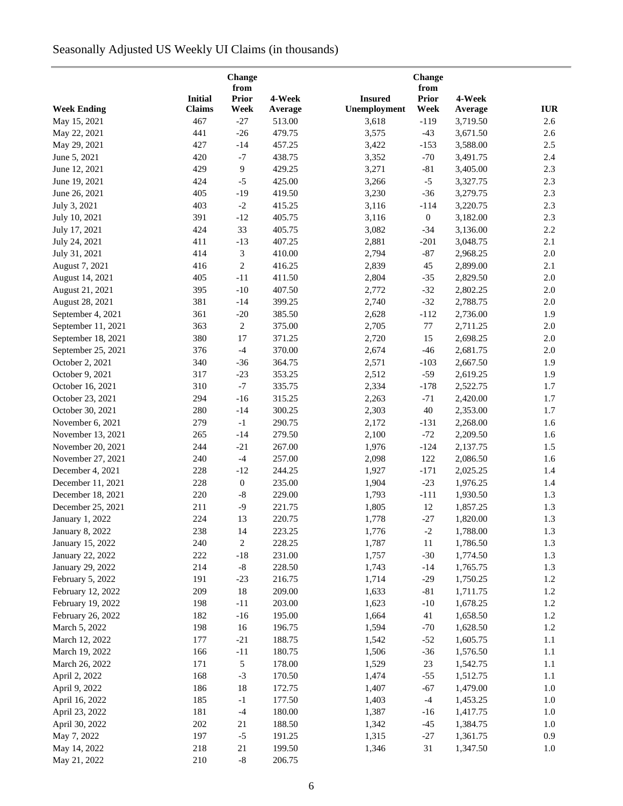# Seasonally Adjusted US Weekly UI Claims (in thousands)

|                        |                | Change<br>from   |         |                | Change<br>from   |          |            |
|------------------------|----------------|------------------|---------|----------------|------------------|----------|------------|
|                        | <b>Initial</b> | <b>Prior</b>     | 4-Week  | <b>Insured</b> | <b>Prior</b>     | 4-Week   |            |
| <b>Week Ending</b>     | <b>Claims</b>  | Week             | Average | Unemployment   | Week             | Average  | <b>IUR</b> |
| May 15, 2021           | 467            | $-27$            | 513.00  | 3,618          | $-119$           | 3,719.50 | 2.6        |
| May 22, 2021           | 441            | $-26$            | 479.75  | 3,575          | $-43$            | 3,671.50 | 2.6        |
| May 29, 2021           | 427            | $-14$            | 457.25  | 3,422          | $-153$           | 3,588.00 | 2.5        |
| June 5, 2021           | 420            | $-7$             | 438.75  | 3,352          | $-70$            | 3,491.75 | 2.4        |
| June 12, 2021          | 429            | 9                | 429.25  | 3,271          | $-81$            | 3,405.00 | 2.3        |
| June 19, 2021          | 424            | $-5$             | 425.00  | 3,266          | $-5$             | 3,327.75 | 2.3        |
| June 26, 2021          | 405            | $-19$            | 419.50  | 3,230          | $-36$            | 3,279.75 | 2.3        |
| July 3, 2021           | 403            | $-2$             | 415.25  | 3,116          | $-114$           | 3,220.75 | 2.3        |
| July 10, 2021          | 391            | $-12$            | 405.75  | 3,116          | $\boldsymbol{0}$ | 3,182.00 | 2.3        |
| July 17, 2021          | 424            | 33               | 405.75  | 3,082          | $-34$            | 3,136.00 | 2.2        |
| July 24, 2021          | 411            | $-13$            | 407.25  | 2,881          | $-201$           | 3,048.75 | 2.1        |
| July 31, 2021          | 414            | 3                | 410.00  | 2,794          | $-87$            | 2,968.25 | 2.0        |
| August 7, 2021         | 416            | $\mathbf{2}$     | 416.25  | 2,839          | 45               | 2,899.00 | 2.1        |
| August 14, 2021        | 405            | $-11$            | 411.50  | 2,804          | $-35$            | 2,829.50 | $2.0\,$    |
| August 21, 2021        | 395            | $-10$            | 407.50  | 2,772          | $-32$            | 2,802.25 | 2.0        |
| August 28, 2021        | 381            | $-14$            | 399.25  | 2,740          | $-32$            | 2,788.75 | $2.0\,$    |
| September 4, 2021      | 361            | $-20$            | 385.50  | 2,628          | $-112$           | 2,736.00 | 1.9        |
| September 11, 2021     | 363            | $\sqrt{2}$       | 375.00  | 2,705          | $77\,$           | 2,711.25 | $2.0\,$    |
| September 18, 2021     | 380            | 17               | 371.25  | 2,720          | 15               | 2,698.25 | $2.0\,$    |
| September 25, 2021     | 376            | $-4$             | 370.00  | 2,674          | $-46$            | 2,681.75 | $2.0\,$    |
| October 2, 2021        | 340            | $-36$            | 364.75  | 2,571          | $-103$           | 2,667.50 | 1.9        |
| October 9, 2021        | 317            | $-23$            | 353.25  | 2,512          | $-59$            | 2,619.25 | 1.9        |
| October 16, 2021       | 310            | $-7$             | 335.75  | 2,334          | $-178$           | 2,522.75 | 1.7        |
| October 23, 2021       | 294            | $-16$            | 315.25  | 2,263          | $-71$            | 2,420.00 | 1.7        |
| October 30, 2021       | 280            | $-14$            | 300.25  | 2,303          | $40\,$           | 2,353.00 | 1.7        |
| November 6, 2021       | 279            | $^{\rm -1}$      | 290.75  | 2,172          | $-131$           | 2,268.00 | 1.6        |
| November 13, 2021      | 265            | $-14$            | 279.50  | 2,100          | $-72$            | 2,209.50 | 1.6        |
| November 20, 2021      | 244            | $-21$            | 267.00  | 1,976          | $-124$           | 2,137.75 | 1.5        |
| November 27, 2021      | 240            | $-4$             | 257.00  | 2,098          | 122              | 2,086.50 | 1.6        |
| December 4, 2021       | 228            | $-12$            | 244.25  | 1,927          | $-171$           | 2,025.25 | 1.4        |
| December 11, 2021      | 228            | $\boldsymbol{0}$ | 235.00  | 1,904          | $-23$            | 1,976.25 | 1.4        |
| December 18, 2021      | 220            | $\mbox{-}8$      | 229.00  | 1,793          | $-111$           | 1,930.50 | 1.3        |
| December 25, 2021      | 211            | $-9$             | 221.75  | 1,805          | $12\,$           | 1,857.25 | 1.3        |
| January 1, 2022        | 224            | 13               | 220.75  | 1,778          | $-27$            | 1,820.00 | $1.3\,$    |
| <b>January 8, 2022</b> | 238            | 14               | 223.25  | 1,776          | $-2$             | 1,788.00 | 1.3        |
| January 15, 2022       | 240            | $\overline{c}$   | 228.25  | 1,787          | 11               | 1,786.50 | 1.3        |
| January 22, 2022       | 222            | $-18$            | 231.00  | 1,757          | $-30$            | 1,774.50 | 1.3        |
| January 29, 2022       | 214            | $\text{-}8$      | 228.50  | 1,743          | $-14$            | 1,765.75 | 1.3        |
| February 5, 2022       | 191            | $-23$            | 216.75  | 1,714          | $-29$            | 1,750.25 | 1.2        |
| February 12, 2022      | 209            | 18               | 209.00  | 1,633          | $-81$            | 1,711.75 | 1.2        |
| February 19, 2022      | 198            | $-11$            | 203.00  | 1,623          | $-10$            | 1,678.25 | $1.2\,$    |
| February 26, 2022      | 182            | $-16$            | 195.00  | 1,664          | 41               | 1,658.50 | 1.2        |
| March 5, 2022          | 198            | 16               | 196.75  | 1,594          | $-70$            | 1,628.50 | 1.2        |
| March 12, 2022         | 177            | $-21$            | 188.75  | 1,542          | $-52$            | 1,605.75 | 1.1        |
| March 19, 2022         | 166            | $-11$            | 180.75  | 1,506          | $-36$            | 1,576.50 | 1.1        |
| March 26, 2022         | 171            | 5                | 178.00  | 1,529          | 23               | 1,542.75 | 1.1        |
| April 2, 2022          | 168            | $-3$             | 170.50  | 1,474          | $-55$            | 1,512.75 | $1.1\,$    |
| April 9, 2022          | 186            | 18               | 172.75  | 1,407          | $-67$            | 1,479.00 | $1.0\,$    |
| April 16, 2022         | 185            | $-1$             | 177.50  | 1,403          | $-4$             | 1,453.25 | 1.0        |
| April 23, 2022         | 181            | $-4$             | 180.00  | 1,387          | $-16$            | 1,417.75 | 1.0        |
| April 30, 2022         | 202            | 21               | 188.50  | 1,342          | $-45$            | 1,384.75 | 1.0        |
| May 7, 2022            | 197            | $-5$             | 191.25  | 1,315          | $-27$            | 1,361.75 | 0.9        |
| May 14, 2022           | 218            | 21               | 199.50  | 1,346          | 31               | 1,347.50 | 1.0        |
| May 21, 2022           | 210            | $\text{-}8$      | 206.75  |                |                  |          |            |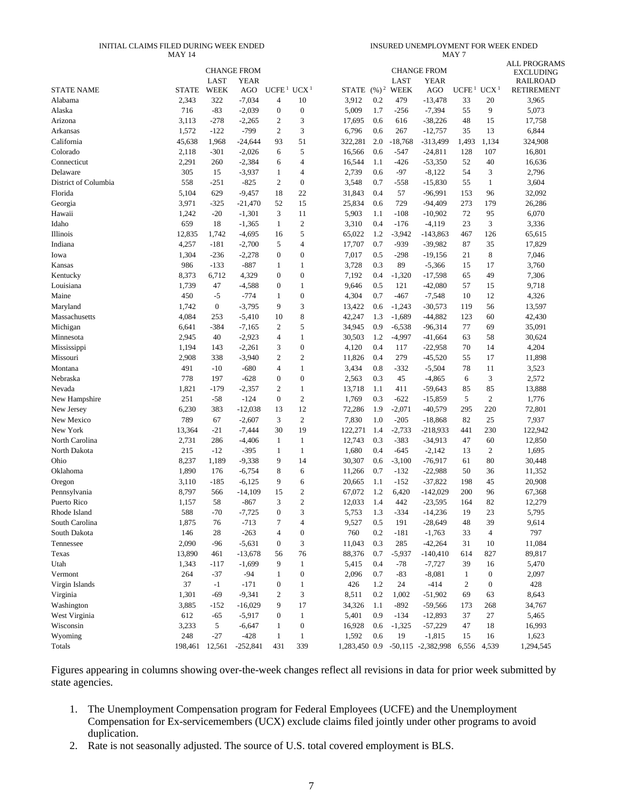#### INITIAL CLAIMS FILED DURING WEEK ENDED MAY 14

INSURED UNEMPLOYMENT FOR WEEK ENDED

|                      | <b>MAY 14</b> |                  |                    |                   |                  |                 |                   |                     |                        | MAY 7             |                  |                                      |
|----------------------|---------------|------------------|--------------------|-------------------|------------------|-----------------|-------------------|---------------------|------------------------|-------------------|------------------|--------------------------------------|
|                      |               |                  |                    |                   |                  |                 |                   |                     |                        |                   |                  | <b>ALL PROGRAMS</b>                  |
|                      |               | LAST             | <b>CHANGE FROM</b> |                   |                  |                 |                   |                     | <b>CHANGE FROM</b>     |                   |                  | <b>EXCLUDING</b>                     |
| <b>STATE NAME</b>    | <b>STATE</b>  | WEEK             | <b>YEAR</b><br>AGO | UCFE <sup>1</sup> | UCX <sup>1</sup> | STATE           | $(\frac{9}{6})^2$ | LAST<br><b>WEEK</b> | <b>YEAR</b><br>AGO     | UCFE <sup>1</sup> | UCX <sup>1</sup> | <b>RAILROAD</b><br><b>RETIREMENT</b> |
| Alabama              | 2,343         | 322              | $-7,034$           | 4                 | 10               | 3,912           | 0.2               | 479                 | $-13,478$              | 33                | 20               | 3,965                                |
| Alaska               | 716           | $-83$            |                    | $\boldsymbol{0}$  | $\boldsymbol{0}$ | 5,009           | 1.7               | $-256$              | $-7,394$               | 55                | 9                | 5,073                                |
| Arizona              | 3,113         |                  | $-2,039$           | $\overline{2}$    |                  |                 | 0.6               |                     |                        | 48                | 15               |                                      |
|                      | 1,572         | $-278$<br>$-122$ | $-2,265$<br>$-799$ | $\mathfrak{2}$    | 3<br>3           | 17,695<br>6,796 | 0.6               | 616<br>267          | $-38,226$<br>$-12,757$ | 35                | 13               | 17,758<br>6,844                      |
| Arkansas             |               |                  |                    |                   |                  |                 |                   |                     |                        |                   |                  |                                      |
| California           | 45,638        | 1,968            | $-24,644$          | 93                | 51               | 322,281         | 2.0               | $-18,768$           | $-313,499$             | 1,493             | 1,134            | 324,908                              |
| Colorado             | 2,118         | $-301$           | $-2,026$           | 6                 | 5                | 16,566          | 0.6               | $-547$              | $-24,811$              | 128               | 107              | 16,801                               |
| Connecticut          | 2,291         | 260              | $-2,384$           | 6                 | $\overline{4}$   | 16,544          | 1.1               | $-426$              | $-53,350$              | 52                | 40               | 16,636                               |
| Delaware             | 305           | 15               | $-3,937$           | 1                 | 4                | 2,739           | 0.6               | $-97$               | $-8,122$               | 54                | 3                | 2,796                                |
| District of Columbia | 558           | $-251$           | $-825$             | $\mathfrak{2}$    | $\mathbf{0}$     | 3,548           | 0.7               | $-558$              | $-15,830$              | 55                | $\mathbf{1}$     | 3,604                                |
| Florida              | 5,104         | 629              | $-9,457$           | 18                | 22               | 31,843          | 0.4               | 57                  | $-96,991$              | 153               | 96               | 32,092                               |
| Georgia              | 3,971         | $-325$           | $-21,470$          | 52                | 15               | 25,834          | 0.6               | 729                 | $-94,409$              | 273               | 179              | 26,286                               |
| Hawaii               | 1,242         | $-20$            | $-1,301$           | 3                 | 11               | 5,903           | 1.1               | $-108$              | $-10,902$              | 72                | 95               | 6,070                                |
| Idaho                | 659           | 18               | $-1,365$           | $\mathbf{1}$      | $\overline{2}$   | 3,310           | 0.4               | $-176$              | $-4,119$               | 23                | 3                | 3,336                                |
| Illinois             | 12,835        | 1,742            | $-4,695$           | 16                | 5                | 65,022          | 1.2               | $-3,942$            | $-143,863$             | 467               | 126              | 65,615                               |
| Indiana              | 4,257         | $-181$           | $-2,700$           | 5                 | $\overline{4}$   | 17,707          | 0.7               | $-939$              | $-39,982$              | 87                | 35               | 17,829                               |
| Iowa                 | 1,304         | $-236$           | $-2,278$           | $\mathbf{0}$      | $\mathbf{0}$     | 7,017           | 0.5               | $-298$              | $-19,156$              | 21                | 8                | 7,046                                |
| Kansas               | 986           | $-133$           | $-887$             | 1                 | $\mathbf{1}$     | 3,728           | 0.3               | 89                  | $-5,366$               | 15                | 17               | 3,760                                |
| Kentucky             | 8,373         | 6,712            | 4,329              | $\overline{0}$    | $\boldsymbol{0}$ | 7,192           | 0.4               | $-1,320$            | $-17,598$              | 65                | 49               | 7,306                                |
| Louisiana            | 1,739         | 47               | $-4,588$           | $\overline{0}$    | $\mathbf{1}$     | 9,646           | 0.5               | 121                 | $-42,080$              | 57                | 15               | 9,718                                |
| Maine                | 450           | $-5$             | $-774$             | 1                 | $\mathbf{0}$     | 4,304           | 0.7               | $-467$              | $-7,548$               | 10                | 12               | 4,326                                |
| Maryland             | 1,742         | $\boldsymbol{0}$ | $-3,795$           | 9                 | 3                | 13,422          | 0.6               | $-1,243$            | $-30,573$              | 119               | 56               | 13,597                               |
| Massachusetts        | 4,084         | 253              | $-5,410$           | 10                | 8                | 42,247          | 1.3               | $-1,689$            | $-44,882$              | 123               | 60               | 42,430                               |
| Michigan             | 6,641         | $-384$           | $-7,165$           | 2                 | 5                | 34,945          | 0.9               | $-6,538$            | $-96,314$              | 77                | 69               | 35,091                               |
| Minnesota            | 2,945         | 40               | $-2,923$           | $\overline{4}$    | $\mathbf{1}$     | 30,503          | 1.2               | $-4,997$            | $-41,664$              | 63                | 58               | 30,624                               |
| Mississippi          | 1,194         | 143              | $-2,261$           | 3                 | $\mathbf{0}$     | 4,120           | 0.4               | 117                 | $-22,958$              | 70                | 14               | 4,204                                |
| Missouri             | 2,908         | 338              | $-3,940$           | $\mathfrak{2}$    | $\overline{c}$   | 11,826          | 0.4               | 279                 | $-45,520$              | 55                | 17               | 11,898                               |
| Montana              | 491           | $-10$            | $-680$             | $\overline{4}$    | $\mathbf{1}$     | 3,434           | 0.8               | $-332$              | $-5,504$               | 78                | 11               | 3,523                                |
| Nebraska             | 778           | 197              | $-628$             | $\boldsymbol{0}$  | $\boldsymbol{0}$ | 2,563           | 0.3               | 45                  | $-4,865$               | 6                 | 3                | 2,572                                |
| Nevada               | 1,821         | $-179$           | $-2,357$           | $\mathfrak{2}$    | $\mathbf{1}$     | 13,718          | 1.1               | 411                 | $-59,643$              | 85                | 85               | 13,888                               |
| New Hampshire        | 251           | $-58$            | $-124$             | $\mathbf{0}$      | $\sqrt{2}$       | 1,769           | 0.3               | $-622$              | $-15,859$              | 5                 | $\mathfrak{2}$   | 1,776                                |
| New Jersey           | 6,230         | 383              | $-12,038$          | 13                | 12               | 72,286          | 1.9               | $-2,071$            | $-40,579$              | 295               | 220              | 72,801                               |
| New Mexico           | 789           | 67               | $-2,607$           | 3                 | $\overline{2}$   | 7,830           | 1.0               | $-205$              | $-18,868$              | 82                | 25               | 7,937                                |
| New York             | 13,364        | $-21$            | $-7,444$           | 30                | 19               | 122,271         | 1.4               | $-2,733$            | $-218,933$             | 441               | 230              | 122,942                              |
| North Carolina       | 2,731         | 286              | $-4,406$           | 1                 | $\mathbf{1}$     | 12,743          | 0.3               | $-383$              | $-34,913$              | 47                | 60               | 12,850                               |
| North Dakota         | 215           | $-12$            | $-395$             | 1                 | $\mathbf{1}$     | 1,680           | 0.4               | $-645$              | $-2,142$               | 13                | $\boldsymbol{2}$ | 1,695                                |
| Ohio                 | 8,237         | 1,189            | $-9,338$           | 9                 | 14               | 30,307          | 0.6               | $-3,100$            | $-76,917$              | 61                | 80               | 30,448                               |
| Oklahoma             | 1,890         | 176              | $-6,754$           | 8                 | 6                | 11,266          | 0.7               | $-132$              | $-22,988$              | 50                | 36               | 11,352                               |
| Oregon               | 3,110         | $-185$           | $-6,125$           | 9                 | 6                | 20,665          | 1.1               | $-152$              | $-37,822$              | 198               | 45               | 20,908                               |
| Pennsylvania         | 8,797         | 566              | $-14,109$          | 15                | $\sqrt{2}$       | 67,072          | 1.2               | 6,420               | $-142,029$             | 200               | 96               | 67,368                               |
| Puerto Rico          | 1,157         | 58               | $-867$             | 3                 | $\overline{2}$   | 12,033          | 1.4               | 442                 | $-23,595$              | 164               | 82               | 12,279                               |
| Rhode Island         | 588           | $-70$            | $-7,725$           | 0                 | 3                | 5,753           | 1.3               | $-334$              | $-14,236$              | 19                | 23               | 5,795                                |
| South Carolina       | 1,875         | 76               | $-713$             | 7                 | $\overline{4}$   | 9,527           | 0.5               | 191                 | $-28,649$              | 48                | 39               | 9,614                                |
| South Dakota         | 146           | 28               | $-263$             | $\overline{4}$    | $\boldsymbol{0}$ | 760             | 0.2               | $-181$              | $-1,763$               | 33                | $\overline{4}$   | 797                                  |
| Tennessee            |               |                  |                    |                   |                  |                 | 0.3               |                     |                        |                   |                  | 11,084                               |
|                      | 2,090         | $-96$            | $-5,631$           | $\boldsymbol{0}$  | 3                | 11,043          |                   | 285                 | $-42,264$              | 31                | 10<br>827        |                                      |
| Texas                | 13,890        | 461              | $-13,678$          | 56                | 76               | 88,376          | 0.7               | $-5,937$            | -140,410               | 614               |                  | 89,817                               |
| Utah                 | 1,343         | $-117$           | $-1,699$           | 9                 | $\mathbf{1}$     | 5,415           | 0.4               | $-78$               | $-7,727$               | 39                | 16               | 5,470                                |
| Vermont              | 264           | $-37$            | $-94$              | 1                 | $\boldsymbol{0}$ | 2,096           | 0.7               | $-83$               | $-8,081$               | $\mathbf{1}$      | $\boldsymbol{0}$ | 2,097                                |
| Virgin Islands       | 37            | $-1$             | $-171$             | $\boldsymbol{0}$  | $\mathbf{1}$     | 426             | 1.2               | 24                  | $-414$                 | $\overline{c}$    | $\boldsymbol{0}$ | 428                                  |
| Virginia             | 1,301         | $-69$            | $-9,341$           | 2                 | 3                | 8,511           | 0.2               | 1,002               | $-51,902$              | 69                | 63               | 8,643                                |
| Washington           | 3,885         | $-152$           | $-16,029$          | 9                 | 17               | 34,326          | 1.1               | $-892$              | $-59,566$              | 173               | 268              | 34,767                               |
| West Virginia        | 612           | $-65$            | $-5,917$           | $\boldsymbol{0}$  | $\mathbf{1}$     | 5,401           | 0.9               | $-134$              | $-12,893$              | 37                | 27               | 5,465                                |
| Wisconsin            | 3,233         | 5                | $-6,647$           | 1                 | $\boldsymbol{0}$ | 16,928          | 0.6               | $-1,325$            | $-57,229$              | 47                | 18               | 16,993                               |
| Wyoming              | 248           | $-27$            | $-428$             | $\mathbf{1}$      | $\mathbf{1}$     | 1,592           | 0.6               | 19                  | $-1,815$               | 15                | 16               | 1,623                                |
| Totals               | 198,461       | 12,561           | $-252,841$         | 431               | 339              | 1,283,450 0.9   |                   |                     | $-50,115$ $-2,382,998$ | 6,556             | 4,539            | 1,294,545                            |

Figures appearing in columns showing over-the-week changes reflect all revisions in data for prior week submitted by state agencies.

- 1. The Unemployment Compensation program for Federal Employees (UCFE) and the Unemployment Compensation for Ex-servicemembers (UCX) exclude claims filed jointly under other programs to avoid duplication.
- 2. Rate is not seasonally adjusted. The source of U.S. total covered employment is BLS.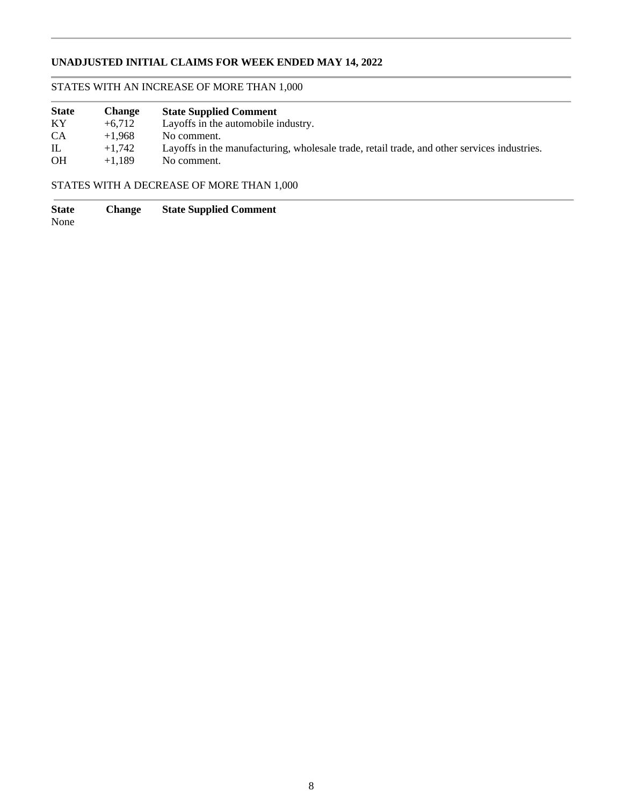# **UNADJUSTED INITIAL CLAIMS FOR WEEK ENDED MAY 14, 2022**

# STATES WITH AN INCREASE OF MORE THAN 1,000

| <b>State</b> | <b>Change</b> | <b>State Supplied Comment</b>                                                               |
|--------------|---------------|---------------------------------------------------------------------------------------------|
| KY           | $+6.712$      | Layoffs in the automobile industry.                                                         |
| <b>CA</b>    | $+1.968$      | No comment.                                                                                 |
| $\mathbb{L}$ | $+1.742$      | Layoffs in the manufacturing, wholesale trade, retail trade, and other services industries. |
| <b>OH</b>    | $+1.189$      | No comment.                                                                                 |

# STATES WITH A DECREASE OF MORE THAN 1,000

**State Change State Supplied Comment**

None